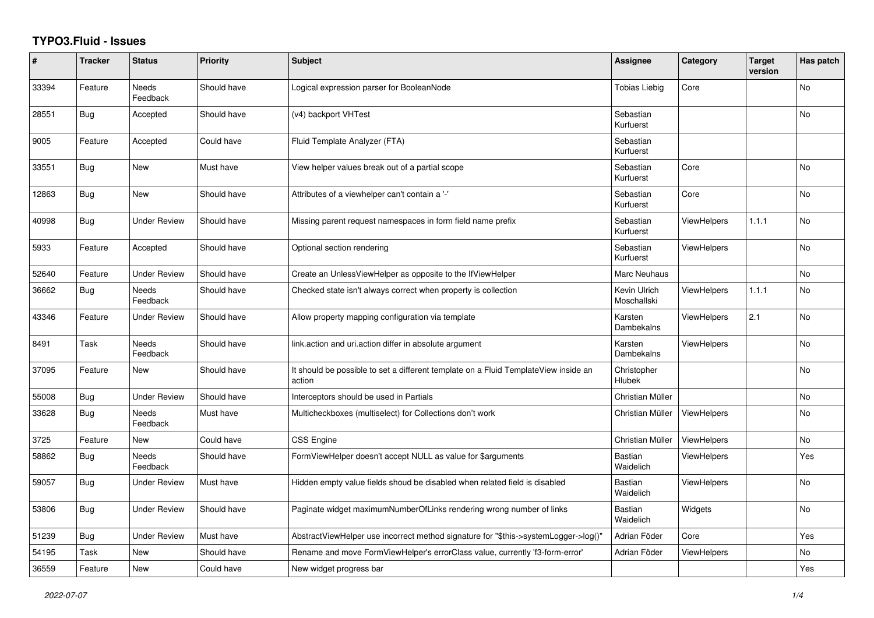## **TYPO3.Fluid - Issues**

| #     | <b>Tracker</b> | <b>Status</b>            | Priority    | Subject                                                                                       | Assignee                    | Category           | <b>Target</b><br>version | Has patch |
|-------|----------------|--------------------------|-------------|-----------------------------------------------------------------------------------------------|-----------------------------|--------------------|--------------------------|-----------|
| 33394 | Feature        | Needs<br>Feedback        | Should have | Logical expression parser for BooleanNode                                                     | <b>Tobias Liebig</b>        | Core               |                          | No        |
| 28551 | <b>Bug</b>     | Accepted                 | Should have | (v4) backport VHTest                                                                          | Sebastian<br>Kurfuerst      |                    |                          | No        |
| 9005  | Feature        | Accepted                 | Could have  | Fluid Template Analyzer (FTA)                                                                 | Sebastian<br>Kurfuerst      |                    |                          |           |
| 33551 | <b>Bug</b>     | New                      | Must have   | View helper values break out of a partial scope                                               | Sebastian<br>Kurfuerst      | Core               |                          | <b>No</b> |
| 12863 | <b>Bug</b>     | <b>New</b>               | Should have | Attributes of a viewhelper can't contain a '-'                                                | Sebastian<br>Kurfuerst      | Core               |                          | <b>No</b> |
| 40998 | <b>Bug</b>     | <b>Under Review</b>      | Should have | Missing parent request namespaces in form field name prefix                                   | Sebastian<br>Kurfuerst      | <b>ViewHelpers</b> | 1.1.1                    | <b>No</b> |
| 5933  | Feature        | Accepted                 | Should have | Optional section rendering                                                                    | Sebastian<br>Kurfuerst      | <b>ViewHelpers</b> |                          | No        |
| 52640 | Feature        | <b>Under Review</b>      | Should have | Create an UnlessViewHelper as opposite to the IfViewHelper                                    | Marc Neuhaus                |                    |                          | <b>No</b> |
| 36662 | <b>Bug</b>     | <b>Needs</b><br>Feedback | Should have | Checked state isn't always correct when property is collection                                | Kevin Ulrich<br>Moschallski | <b>ViewHelpers</b> | 1.1.1                    | <b>No</b> |
| 43346 | Feature        | Under Review             | Should have | Allow property mapping configuration via template                                             | Karsten<br>Dambekalns       | <b>ViewHelpers</b> | 2.1                      | No        |
| 8491  | Task           | Needs<br>Feedback        | Should have | link.action and uri.action differ in absolute argument                                        | Karsten<br>Dambekalns       | ViewHelpers        |                          | No        |
| 37095 | Feature        | New                      | Should have | It should be possible to set a different template on a Fluid TemplateView inside an<br>action | Christopher<br>Hlubek       |                    |                          | No        |
| 55008 | Bug            | <b>Under Review</b>      | Should have | Interceptors should be used in Partials                                                       | Christian Müller            |                    |                          | <b>No</b> |
| 33628 | <b>Bug</b>     | Needs<br>Feedback        | Must have   | Multicheckboxes (multiselect) for Collections don't work                                      | Christian Müller            | <b>ViewHelpers</b> |                          | No        |
| 3725  | Feature        | New                      | Could have  | <b>CSS Engine</b>                                                                             | Christian Müller            | ViewHelpers        |                          | <b>No</b> |
| 58862 | <b>Bug</b>     | <b>Needs</b><br>Feedback | Should have | FormViewHelper doesn't accept NULL as value for \$arguments                                   | <b>Bastian</b><br>Waidelich | <b>ViewHelpers</b> |                          | Yes       |
| 59057 | <b>Bug</b>     | <b>Under Review</b>      | Must have   | Hidden empty value fields shoud be disabled when related field is disabled                    | Bastian<br>Waidelich        | <b>ViewHelpers</b> |                          | <b>No</b> |
| 53806 | <b>Bug</b>     | <b>Under Review</b>      | Should have | Paginate widget maximumNumberOfLinks rendering wrong number of links                          | <b>Bastian</b><br>Waidelich | Widgets            |                          | No        |
| 51239 | Bug            | <b>Under Review</b>      | Must have   | AbstractViewHelper use incorrect method signature for "\$this->systemLogger->log()"           | Adrian Föder                | Core               |                          | Yes       |
| 54195 | Task           | <b>New</b>               | Should have | Rename and move FormViewHelper's errorClass value, currently 'f3-form-error'                  | Adrian Föder                | <b>ViewHelpers</b> |                          | <b>No</b> |
| 36559 | Feature        | New                      | Could have  | New widget progress bar                                                                       |                             |                    |                          | Yes       |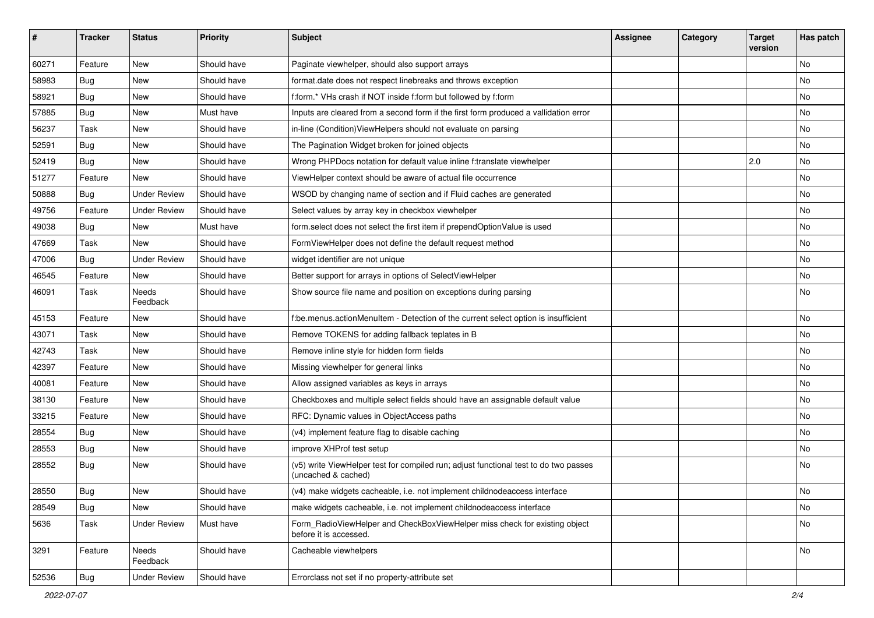| #     | <b>Tracker</b> | <b>Status</b>       | <b>Priority</b> | <b>Subject</b>                                                                                              | <b>Assignee</b> | Category | <b>Target</b><br>version | Has patch |
|-------|----------------|---------------------|-----------------|-------------------------------------------------------------------------------------------------------------|-----------------|----------|--------------------------|-----------|
| 60271 | Feature        | New                 | Should have     | Paginate viewhelper, should also support arrays                                                             |                 |          |                          | <b>No</b> |
| 58983 | <b>Bug</b>     | New                 | Should have     | format.date does not respect linebreaks and throws exception                                                |                 |          |                          | No        |
| 58921 | Bug            | New                 | Should have     | f:form.* VHs crash if NOT inside f:form but followed by f:form                                              |                 |          |                          | No        |
| 57885 | Bug            | New                 | Must have       | Inputs are cleared from a second form if the first form produced a vallidation error                        |                 |          |                          | No        |
| 56237 | Task           | New                 | Should have     | in-line (Condition) ViewHelpers should not evaluate on parsing                                              |                 |          |                          | No        |
| 52591 | Bug            | New                 | Should have     | The Pagination Widget broken for joined objects                                                             |                 |          |                          | No        |
| 52419 | Bug            | New                 | Should have     | Wrong PHPDocs notation for default value inline f:translate viewhelper                                      |                 |          | 2.0                      | No        |
| 51277 | Feature        | New                 | Should have     | ViewHelper context should be aware of actual file occurrence                                                |                 |          |                          | No        |
| 50888 | Bug            | <b>Under Review</b> | Should have     | WSOD by changing name of section and if Fluid caches are generated                                          |                 |          |                          | No        |
| 49756 | Feature        | <b>Under Review</b> | Should have     | Select values by array key in checkbox viewhelper                                                           |                 |          |                          | No        |
| 49038 | Bug            | <b>New</b>          | Must have       | form.select does not select the first item if prependOptionValue is used                                    |                 |          |                          | <b>No</b> |
| 47669 | Task           | New                 | Should have     | FormViewHelper does not define the default request method                                                   |                 |          |                          | No        |
| 47006 | Bug            | <b>Under Review</b> | Should have     | widget identifier are not unique                                                                            |                 |          |                          | No        |
| 46545 | Feature        | New                 | Should have     | Better support for arrays in options of SelectViewHelper                                                    |                 |          |                          | No        |
| 46091 | Task           | Needs<br>Feedback   | Should have     | Show source file name and position on exceptions during parsing                                             |                 |          |                          | No        |
| 45153 | Feature        | New                 | Should have     | f:be.menus.actionMenuItem - Detection of the current select option is insufficient                          |                 |          |                          | No        |
| 43071 | Task           | New                 | Should have     | Remove TOKENS for adding fallback teplates in B                                                             |                 |          |                          | No        |
| 42743 | Task           | New                 | Should have     | Remove inline style for hidden form fields                                                                  |                 |          |                          | <b>No</b> |
| 42397 | Feature        | New                 | Should have     | Missing viewhelper for general links                                                                        |                 |          |                          | No        |
| 40081 | Feature        | New                 | Should have     | Allow assigned variables as keys in arrays                                                                  |                 |          |                          | No        |
| 38130 | Feature        | New                 | Should have     | Checkboxes and multiple select fields should have an assignable default value                               |                 |          |                          | No        |
| 33215 | Feature        | New                 | Should have     | RFC: Dynamic values in ObjectAccess paths                                                                   |                 |          |                          | No        |
| 28554 | Bug            | New                 | Should have     | (v4) implement feature flag to disable caching                                                              |                 |          |                          | <b>No</b> |
| 28553 | Bug            | New                 | Should have     | improve XHProf test setup                                                                                   |                 |          |                          | No        |
| 28552 | Bug            | New                 | Should have     | (v5) write ViewHelper test for compiled run; adjust functional test to do two passes<br>(uncached & cached) |                 |          |                          | <b>No</b> |
| 28550 | Bug            | New                 | Should have     | (v4) make widgets cacheable, i.e. not implement childnodeaccess interface                                   |                 |          |                          | No        |
| 28549 | Bug            | New                 | Should have     | make widgets cacheable, i.e. not implement childnodeaccess interface                                        |                 |          |                          | No        |
| 5636  | Task           | <b>Under Review</b> | Must have       | Form_RadioViewHelper and CheckBoxViewHelper miss check for existing object<br>before it is accessed.        |                 |          |                          | No        |
| 3291  | Feature        | Needs<br>Feedback   | Should have     | Cacheable viewhelpers                                                                                       |                 |          |                          | No        |
| 52536 | Bug            | <b>Under Review</b> | Should have     | Errorclass not set if no property-attribute set                                                             |                 |          |                          |           |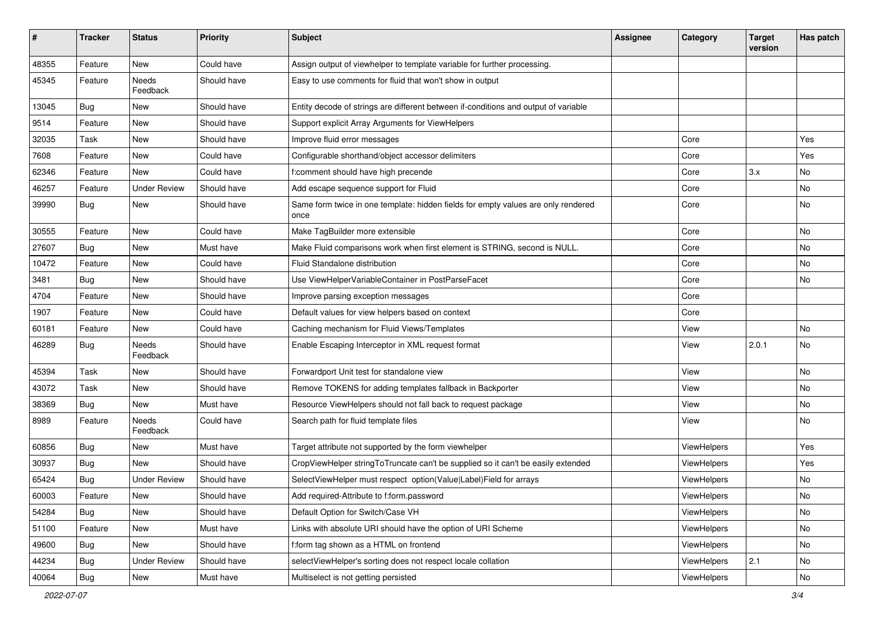| #     | <b>Tracker</b> | <b>Status</b>       | <b>Priority</b> | Subject                                                                                   | <b>Assignee</b> | Category    | <b>Target</b><br>version | Has patch |
|-------|----------------|---------------------|-----------------|-------------------------------------------------------------------------------------------|-----------------|-------------|--------------------------|-----------|
| 48355 | Feature        | New                 | Could have      | Assign output of viewhelper to template variable for further processing.                  |                 |             |                          |           |
| 45345 | Feature        | Needs<br>Feedback   | Should have     | Easy to use comments for fluid that won't show in output                                  |                 |             |                          |           |
| 13045 | Bug            | New                 | Should have     | Entity decode of strings are different between if-conditions and output of variable       |                 |             |                          |           |
| 9514  | Feature        | New                 | Should have     | Support explicit Array Arguments for ViewHelpers                                          |                 |             |                          |           |
| 32035 | Task           | New                 | Should have     | Improve fluid error messages                                                              |                 | Core        |                          | Yes       |
| 7608  | Feature        | New                 | Could have      | Configurable shorthand/object accessor delimiters                                         |                 | Core        |                          | Yes       |
| 62346 | Feature        | New                 | Could have      | f:comment should have high precende                                                       |                 | Core        | 3.x                      | No        |
| 46257 | Feature        | <b>Under Review</b> | Should have     | Add escape sequence support for Fluid                                                     |                 | Core        |                          | No        |
| 39990 | Bug            | New                 | Should have     | Same form twice in one template: hidden fields for empty values are only rendered<br>once |                 | Core        |                          | No        |
| 30555 | Feature        | New                 | Could have      | Make TagBuilder more extensible                                                           |                 | Core        |                          | No        |
| 27607 | Bug            | New                 | Must have       | Make Fluid comparisons work when first element is STRING, second is NULL.                 |                 | Core        |                          | No        |
| 10472 | Feature        | New                 | Could have      | Fluid Standalone distribution                                                             |                 | Core        |                          | No.       |
| 3481  | Bug            | New                 | Should have     | Use ViewHelperVariableContainer in PostParseFacet                                         |                 | Core        |                          | No        |
| 4704  | Feature        | New                 | Should have     | Improve parsing exception messages                                                        |                 | Core        |                          |           |
| 1907  | Feature        | New                 | Could have      | Default values for view helpers based on context                                          |                 | Core        |                          |           |
| 60181 | Feature        | New                 | Could have      | Caching mechanism for Fluid Views/Templates                                               |                 | View        |                          | No        |
| 46289 | Bug            | Needs<br>Feedback   | Should have     | Enable Escaping Interceptor in XML request format                                         |                 | View        | 2.0.1                    | No        |
| 45394 | Task           | New                 | Should have     | Forwardport Unit test for standalone view                                                 |                 | View        |                          | No        |
| 43072 | Task           | New                 | Should have     | Remove TOKENS for adding templates fallback in Backporter                                 |                 | View        |                          | No        |
| 38369 | Bug            | New                 | Must have       | Resource ViewHelpers should not fall back to request package                              |                 | View        |                          | No        |
| 8989  | Feature        | Needs<br>Feedback   | Could have      | Search path for fluid template files                                                      |                 | View        |                          | No        |
| 60856 | Bug            | New                 | Must have       | Target attribute not supported by the form viewhelper                                     |                 | ViewHelpers |                          | Yes       |
| 30937 | Bug            | New                 | Should have     | CropViewHelper stringToTruncate can't be supplied so it can't be easily extended          |                 | ViewHelpers |                          | Yes       |
| 65424 | <b>Bug</b>     | <b>Under Review</b> | Should have     | SelectViewHelper must respect option(Value Label)Field for arrays                         |                 | ViewHelpers |                          | No        |
| 60003 | Feature        | New                 | Should have     | Add required-Attribute to f:form.password                                                 |                 | ViewHelpers |                          | No        |
| 54284 | <b>Bug</b>     | New                 | Should have     | Default Option for Switch/Case VH                                                         |                 | ViewHelpers |                          | No        |
| 51100 | Feature        | New                 | Must have       | Links with absolute URI should have the option of URI Scheme                              |                 | ViewHelpers |                          | No        |
| 49600 | Bug            | New                 | Should have     | f:form tag shown as a HTML on frontend                                                    |                 | ViewHelpers |                          | No        |
| 44234 | Bug            | <b>Under Review</b> | Should have     | selectViewHelper's sorting does not respect locale collation                              |                 | ViewHelpers | 2.1                      | No        |
| 40064 | Bug            | New                 | Must have       | Multiselect is not getting persisted                                                      |                 | ViewHelpers |                          | No        |